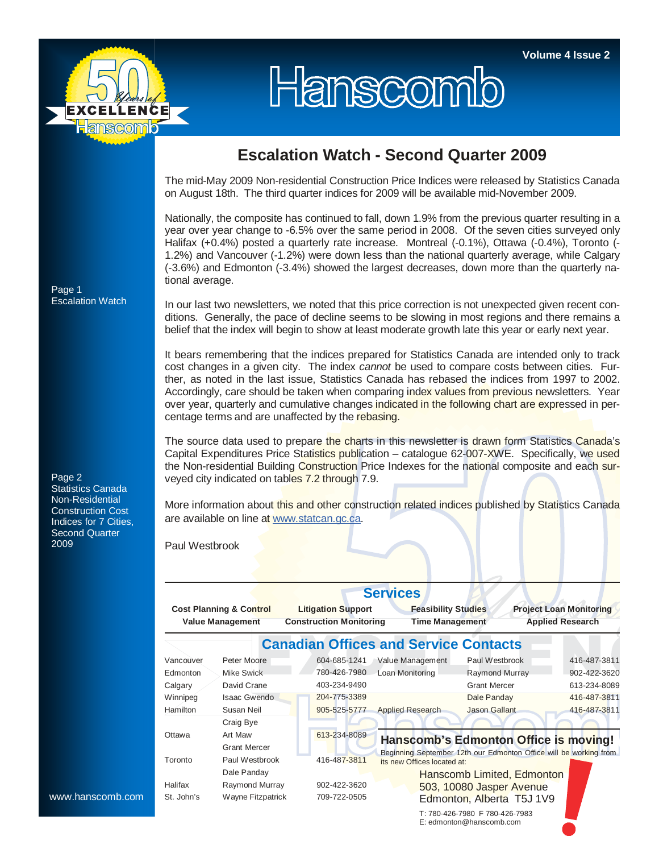

Page 1

Page 2

2009

Statistics Canada Non-Residential Construction Cost Indices for 7 Cities, Second Quarter

Escalation Watch

## Hanscomb

## **Escalation Watch - Second Quarter 2009**

The mid-May 2009 Non-residential Construction Price Indices were released by Statistics Canada on August 18th. The third quarter indices for 2009 will be available mid-November 2009.

Nationally, the composite has continued to fall, down 1.9% from the previous quarter resulting in a year over year change to -6.5% over the same period in 2008. Of the seven cities surveyed only Halifax (+0.4%) posted a quarterly rate increase. Montreal (-0.1%), Ottawa (-0.4%), Toronto (- 1.2%) and Vancouver (-1.2%) were down less than the national quarterly average, while Calgary (-3.6%) and Edmonton (-3.4%) showed the largest decreases, down more than the quarterly national average.

In our last two newsletters, we noted that this price correction is not unexpected given recent conditions. Generally, the pace of decline seems to be slowing in most regions and there remains a belief that the index will begin to show at least moderate growth late this year or early next year.

It bears remembering that the indices prepared for Statistics Canada are intended only to track cost changes in a given city. The index *cannot* be used to compare costs between cities. Further, as noted in the last issue, Statistics Canada has rebased the indices from 1997 to 2002. Accordingly, care should be taken when comparing index values from previous newsletters. Year over year, quarterly and cumulative changes indicated in the following chart are expressed in percentage terms and are unaffected by the rebasing.

The source data used to prepare the charts in this newsletter is drawn form Statistics Canada's Capital Expenditures Price Statistics publication – catalogue 62-007-XWE. Specifically, we used the Non-residential Building Construction Price Indexes for the national composite and each surveyed city indicated on tables 7.2 through 7.9.

More information about this and other construction related indices published by Statistics Canada are available on line at www.statcan.gc.ca.

Paul Westbrook

|                                                               |                     |                                                             | <b>Services</b>                                      |                                |                                                                   |  |  |  |  |  |
|---------------------------------------------------------------|---------------------|-------------------------------------------------------------|------------------------------------------------------|--------------------------------|-------------------------------------------------------------------|--|--|--|--|--|
| <b>Cost Planning &amp; Control</b><br><b>Value Management</b> |                     | <b>Litigation Support</b><br><b>Construction Monitoring</b> | <b>Feasibility Studies</b><br><b>Time Management</b> |                                | <b>Project Loan Monitoring</b><br><b>Applied Research</b>         |  |  |  |  |  |
|                                                               |                     | <b>Canadian Offices and Service Contacts</b>                |                                                      |                                |                                                                   |  |  |  |  |  |
| Vancouver                                                     | Peter Moore         | 604-685-1241                                                | Value Management                                     | Paul Westbrook                 | 416-487-3811                                                      |  |  |  |  |  |
| Edmonton                                                      | <b>Mike Swick</b>   | 780-426-7980                                                | Loan Monitoring                                      | <b>Raymond Murray</b>          | 902-422-3620                                                      |  |  |  |  |  |
| Calgary                                                       | David Crane         | 403-234-9490                                                |                                                      | <b>Grant Mercer</b>            | 613-234-8089                                                      |  |  |  |  |  |
| Winnipeg                                                      | <b>Isaac Gwendo</b> | 204-775-3389                                                |                                                      | Dale Panday                    | 416-487-3811                                                      |  |  |  |  |  |
| <b>Hamilton</b>                                               | Susan Neil          | 905-525-5777                                                | <b>Applied Research</b>                              | Jason Gallant                  | 416-487-3811                                                      |  |  |  |  |  |
|                                                               | Craig Bye           |                                                             |                                                      |                                |                                                                   |  |  |  |  |  |
| Ottawa                                                        | Art Maw             | 613-234-8089                                                |                                                      |                                | <b>Hanscomb's Edmonton Office is moving!</b>                      |  |  |  |  |  |
|                                                               | <b>Grant Mercer</b> |                                                             |                                                      |                                | Beginning September 12th our Edmonton Office will be working from |  |  |  |  |  |
| Toronto                                                       | Paul Westbrook      | 416-487-3811                                                | its new Offices located at:                          |                                |                                                                   |  |  |  |  |  |
|                                                               | Dale Panday         |                                                             |                                                      | Hanscomb Limited, Edmonton     |                                                                   |  |  |  |  |  |
| Halifax                                                       | Raymond Murray      | 902-422-3620                                                |                                                      | 503, 10080 Jasper Avenue       |                                                                   |  |  |  |  |  |
| St. John's                                                    | Wayne Fitzpatrick   | 709-722-0505                                                |                                                      | Edmonton, Alberta T5J 1V9      |                                                                   |  |  |  |  |  |
|                                                               |                     |                                                             |                                                      | T: 780-426-7980 F 780-426-7983 |                                                                   |  |  |  |  |  |

E: edmonton@hanscomb.com

www.hanscomb.com